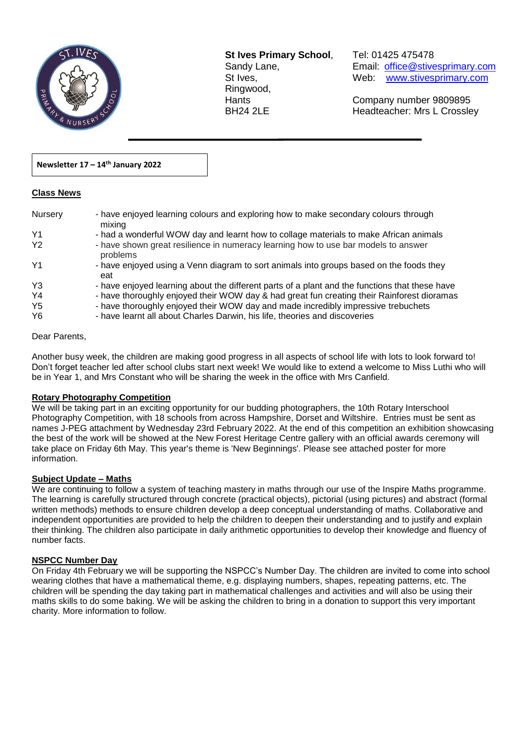

**St Ives Primary School**, Tel: 01425 475478 Ringwood,

Sandy Lane, Email: office@stivesprimary.com St Ives, [www.stivesprimary.com](http://www.stives.dorset.sch.uk/)

Hants Company number 9809895 BH24 2LE Headteacher: Mrs L Crossley

### **Newsletter 17 – 14th January 2022**

#### **Class News**

| Nursery        | - have enjoyed learning colours and exploring how to make secondary colours through<br>mixing  |
|----------------|------------------------------------------------------------------------------------------------|
| Y <sub>1</sub> | - had a wonderful WOW day and learnt how to collage materials to make African animals          |
| Y <sub>2</sub> | - have shown great resilience in numeracy learning how to use bar models to answer<br>problems |
| Y <sub>1</sub> | - have enjoyed using a Venn diagram to sort animals into groups based on the foods they<br>eat |
| Y3             | - have enjoyed learning about the different parts of a plant and the functions that these have |
| Y <sub>4</sub> | - have thoroughly enjoyed their WOW day & had great fun creating their Rainforest dioramas     |
| Y <sub>5</sub> | - have thoroughly enjoyed their WOW day and made incredibly impressive trebuchets              |
| Y6             | - have learnt all about Charles Darwin, his life, theories and discoveries                     |

 $\overline{a}$ 

### Dear Parents,

Another busy week, the children are making good progress in all aspects of school life with lots to look forward to! Don't forget teacher led after school clubs start next week! We would like to extend a welcome to Miss Luthi who will be in Year 1, and Mrs Constant who will be sharing the week in the office with Mrs Canfield.

#### **Rotary Photography Competition**

We will be taking part in an exciting opportunity for our budding photographers, the 10th Rotary Interschool Photography Competition, with 18 schools from across Hampshire, Dorset and Wiltshire. Entries must be sent as names J-PEG attachment by Wednesday 23rd February 2022. At the end of this competition an exhibition showcasing the best of the work will be showed at the New Forest Heritage Centre gallery with an official awards ceremony will take place on Friday 6th May. This year's theme is 'New Beginnings'. Please see attached poster for more information.

## **Subject Update – Maths**

We are continuing to follow a system of teaching mastery in maths through our use of the Inspire Maths programme. The learning is carefully structured through concrete (practical objects), pictorial (using pictures) and abstract (formal written methods) methods to ensure children develop a deep conceptual understanding of maths. Collaborative and independent opportunities are provided to help the children to deepen their understanding and to justify and explain their thinking. The children also participate in daily arithmetic opportunities to develop their knowledge and fluency of number facts.

#### **NSPCC Number Day**

On Friday 4th February we will be supporting the NSPCC's Number Day. The children are invited to come into school wearing clothes that have a mathematical theme, e.g. displaying numbers, shapes, repeating patterns, etc. The children will be spending the day taking part in mathematical challenges and activities and will also be using their maths skills to do some baking. We will be asking the children to bring in a donation to support this very important charity. More information to follow.